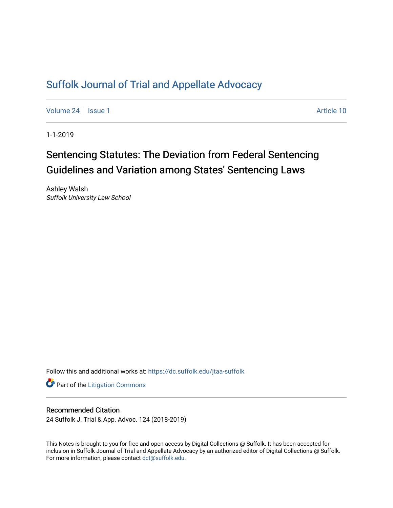# [Suffolk Journal of Trial and Appellate Advocacy](https://dc.suffolk.edu/jtaa-suffolk)

[Volume 24](https://dc.suffolk.edu/jtaa-suffolk/vol24) | [Issue 1](https://dc.suffolk.edu/jtaa-suffolk/vol24/iss1) Article 10

1-1-2019

# Sentencing Statutes: The Deviation from Federal Sentencing Guidelines and Variation among States' Sentencing Laws

Ashley Walsh Suffolk University Law School

Follow this and additional works at: [https://dc.suffolk.edu/jtaa-suffolk](https://dc.suffolk.edu/jtaa-suffolk?utm_source=dc.suffolk.edu%2Fjtaa-suffolk%2Fvol24%2Fiss1%2F10&utm_medium=PDF&utm_campaign=PDFCoverPages) 

**Part of the [Litigation Commons](https://network.bepress.com/hgg/discipline/910?utm_source=dc.suffolk.edu%2Fjtaa-suffolk%2Fvol24%2Fiss1%2F10&utm_medium=PDF&utm_campaign=PDFCoverPages)** 

# Recommended Citation

24 Suffolk J. Trial & App. Advoc. 124 (2018-2019)

This Notes is brought to you for free and open access by Digital Collections @ Suffolk. It has been accepted for inclusion in Suffolk Journal of Trial and Appellate Advocacy by an authorized editor of Digital Collections @ Suffolk. For more information, please contact [dct@suffolk.edu](mailto:dct@suffolk.edu).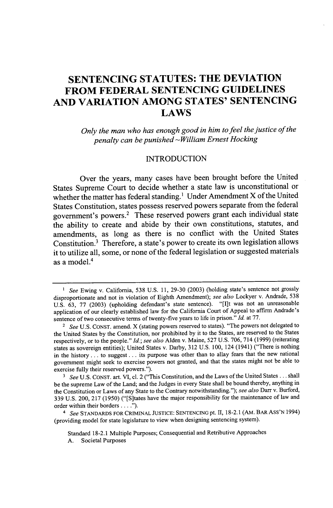# **SENTENCING STATUTES: THE DEVIATION FROM FEDERAL SENTENCING GUIDELINES AND VARIATION AMONG STATES' SENTENCING LAWS**

*Only the man who has enough good in him to feel the justice of the penalty can be punished* -William *Ernest Hocking*

#### **INTRODUCTION**

Over the years, many cases have been brought before the United States Supreme Court to decide whether a state law is unconstitutional or whether the matter has federal standing.' Under Amendment X of the United States Constitution, states possess reserved powers separate from the federal government's powers.2 These reserved powers grant each individual state the ability to create and abide **by** their own constitutions, statutes, and amendments, as long as there is no conflict with the United States Constitution.' Therefore, a state's power to create its own legislation allows it to utilize all, some, or none of the federal legislation or suggested materials as a model.'

<sup>4</sup>*See* **STANDARDS** FOR **CRIMINAL JUSTICE: SENTENCING** pt. II, **18-2.1** (AM. BAR ASS'N 1994) (providing model for state legislature to view when designing sentencing system).

Standard **18-2.1** Multiple Purposes; Consequential and Retributive Approaches

<sup>&</sup>lt;sup>1</sup> See Ewing v. California, 538 U.S. 11, 29-30 (2003) (holding state's sentence not grossly disproportionate and not in violation of Eighth Amendment); *see also* Lockyer v. Andrade, **538 U.S. 63, 77 (2003)** (upholding defendant's state sentence). "[I]t was not an unreasonable application of our clearly established law for the California Court of Appeal to affirm Andrade's sentence of two consecutive terms of twenty-five years to life in prison." *Id.* at **77.**

**<sup>2</sup>** *See* **U.S. CONST.** amend. X (stating powers reserved to states). "The powers not delegated to the United States **by** the Constitution, nor prohibited **by** it to the States, are reserved to the States respectively, or to the people." *Id.; see also* Alden v. Maine, **527 U.S. 706,** 714 **(1999)** (reiterating states as sovereign entities); United States v. Darby, **312 U.S. 100,** 124 (1941) ("There is nothing in the history **...** to suggest **...** its purpose was other than to allay fears that the new national government might seek to exercise powers not granted, and that the states might not be able to exercise fully their reserved powers.").

**<sup>3</sup>***See* **U.S. CONST.** art. VI, cl. 2 ("This Constitution, and the Laws of the United States **...** shall be the supreme Law of the Land; and the Judges in every State shall be bound thereby, anything in the Constitution or Laws of any State to the Contrary notwithstanding."); *see also* Darr v. Burford, **339 U.S. 200, 217 (1950)** ("[S]tates have the major responsibility for the maintenance of law and order within their borders **. . . .").**

**A.** Societal Purposes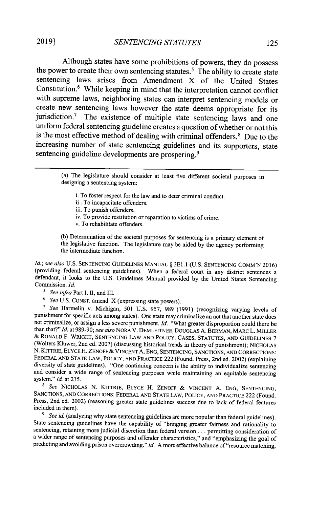Although states have some prohibitions of powers, they do possess the power to create their own sentencing statutes.<sup>5</sup> The ability to create state sentencing laws arises from Amendment X of the United States Constitution.<sup>6</sup> While keeping in mind that the interpretation cannot conflict with supreme laws, neighboring states can interpret sentencing models or create new sentencing laws however the state deems appropriate for its jurisdiction.' The existence of multiple state sentencing laws and one uniform federal sentencing guideline creates a question of whether or not this is the most effective method of dealing with criminal offenders.' Due to the increasing number of state sentencing guidelines and its supporters, state sentencing guideline developments are prospering.<sup>9</sup>

> (a) The legislature should consider at least five different societal purposes in designing a sentencing system:

i. To foster respect for the law and to deter criminal conduct.

- ii **.** To incapacitate offenders.
- iii. To punish offenders.
- iv. To provide restitution or reparation to victims of crime.
- v. To rehabilitate offenders.

**(b)** Determination of the societal purposes for sentencing is a primary element of the legislative function. The legislature may be aided **by** the agency performing the intermediate function.

*Id.; see also* U.S. SENTENCING GUIDELINES MANUAL § 3E1.1 (U.S. SENTENCING COMM'N 2016) (providing federal sentencing guidelines). When a federal court in any district sentences a defendant, it looks to the **U.S.** Guidelines Manual provided **by** the United States Sentencing Commission. *Id.*

- *<sup>5</sup>See infra* Part **I,** II, and **IlL**
- **6** *See* **U.S. CONST.** amend. X (expressing state powers).

*<sup>7</sup>See* Harmelin v. Michigan, **501 U.S. 957, 989 (1991)** (recognizing varying levels of punishment for specific acts among states). One state may criminalize an act that another state does not criminalize, or assign a less severe punishment. *Id.* "What greater disproportion could there be than that?" *Id.* at **989-90;** *see also* NORA V. **DEMLEITNER,** DOUGLAS **A.** BERMAN, MARC L. MILLER **&** RONALD F. WRIGHT, **SENTENCING** LAW **AND** POLICY: **CASES, STATUTES, AND** GUIDELINES **7** (Wolters Kluwer, 2nd ed. **2007)** (discussing historical trends in theory of punishment); NICHOLAS **N.** KITTRIE, ELYCE H. **ZENOFF &** VINCENT **A. ENG, SENTENCING, SANCTIONS, AND** CORRECTIONS: FEDERAL **AND STATE** LAW, POLICY, **AND** PRACTICE 222 (Found. Press, 2nd ed. 2002) (explaining diversity of state guidelines). "One continuing concern is the ability to individualize sentencing and consider a wide range of sentencing purposes while maintaining an equitable sentencing system." Id. at **215.**

**<sup>8</sup>***See* NICHOLAS **N.** KITTRIE, ELYCE H. **ZENOFF &** VINCENT **A. ENG, SENTENCING, SANCTIONS, AND** CORRECTIONS: FEDERAL **AND STATE** LAW, POLICY, **AND** PRACTICE 222 (Found. Press, 2nd ed. 2002) (reasoning greater state guidelines success due to lack of federal features included in them).

<sup>9</sup> See id. (analyzing why state sentencing guidelines are more popular than federal guidelines). State sentencing guidelines have the capability of "bringing greater fairness and rationality to sentencing, retaining more judicial discretion than federal version **...** permitting consideration of a wider range of sentencing purposes and offender characteristics," and "emphasizing the goal of predicting and avoiding prison overcrowding." *Id.* **A** more effective balance of "resource matching,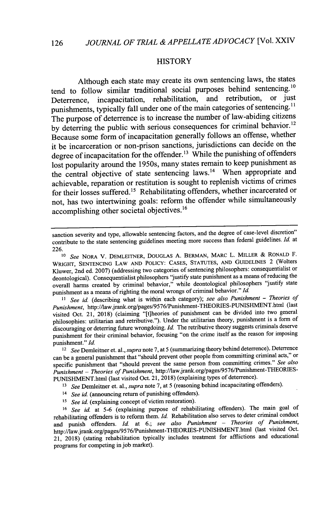### **HISTORY**

Although each state may create its own sentencing laws, the states tend to follow similar traditional social purposes behind sentencing.<sup>10</sup><br>Determines incorporation rehabilitation and retribution or just Deterrence, incapacitation, rehabilitation, and retribution, punishments, typically fall under one of the main categories of sentencing.<sup>11</sup> The purpose of deterrence is to increase the number of law-abiding citizens by deterring the public with serious consequences for criminal behavior.<sup>12</sup> Because some form of incapacitation generally follows an offense, whether it be incarceration or non-prison sanctions, jurisdictions can decide on the degree of incapacitation for the offender.<sup>13</sup> While the punishing of offenders lost popularity around the *1950s,* many states remain to keep punishment as the central objective of state sentencing laws.<sup>14</sup> When appropriate and achievable, reparation or restitution is sought to replenish victims of crimes for their losses suffered.<sup>15</sup> Rehabilitating offenders, whether incarcerated or not, has two intertwining goals: reform the offender while simultaneously accomplishing other societal objectives.<sup>16</sup>

<sup>11</sup> See id. (describing what is within each category); see also Punishment - Theories of *Punishment,* http://law.jrank.org/pages/9576/Punishment-THEORIES-PUNISHMENT.html (last visited Oct. 21, **2018)** (claiming "[t]heories of punishment can be divided into two general philosophies: utilitarian and retributive."). Under the utilitarian theory, punishment is a form of discouraging or deterring future wrongdoing. *Id.* The retributive theory suggests criminals deserve punishment for their criminal behavior, focusing "on the crime itself as the reason for imposing punishment." *Id.*

*12 See* Demleitner et. al., *supra* note **7,** at *5* (summarizing theory behind deterrence). Deterrence can be a general punishment that "should prevent other people from committing criminal acts," or specific punishment that "should prevent the same person from committing crimes." *See also Punishment* **-** *Theories of Punishment,* http://law.jrank.org/pages/9576/Punishment-THEORIES-PUNISHMENT.html (last visited Oct. 21, **2018)** (explaining types of deterrence).

*<sup>13</sup>See* Demleitner et. al., *supra* note **7,** at **5** (reasoning behind incapacitating offenders).

- <sup>14</sup> See id. (announcing return of punishing offenders).
- <sup>15</sup> See id. (explaining concept of victim restoration).

*<sup>16</sup>See id.* at *5-6* (explaining purpose of rehabilitating offenders). The main goal of rehabilitating offenders is to reform them. *Id.* Rehabilitation also serves to deter criminal conduct and punish offenders. *Id.* at **6.;** *see also Punishment* **-** *Theories of Punishment,* http://law.jrank.org/pages/9576/Punishment-THEORES-PUNISHMENT.html (last visited Oct. 21, **2018)** (stating rehabilitation typically includes treatment for afflictions and educational programs for competing in **job** market).

sanction severity and type, allowable sentencing factors, and the degree of case-level discretion" contribute to the state sentencing guidelines meeting more success than federal guidelines. *Id* at **226.**

*<sup>1</sup>o See* **NORA V. DEMLEITNER, DOUGLAS A. BERMAN, MARC L. MILLER & RONALD** F. **WRIGHT, SENTENCING LAW AND POLICY: CASES, STATUTES, AND GUIDELINES** 2 (Wolters Kluwer, 2nd ed. **2007)** (addressing two categories of sentencing philosophers: consequentialist or deontological). Consequentialist philosophers "justify state punishment as a means of reducing the overall harms created **by** criminal behavior," while deontological philosophers "justify state punishment as a means of righting the moral wrongs of criminal behavior." *Id.*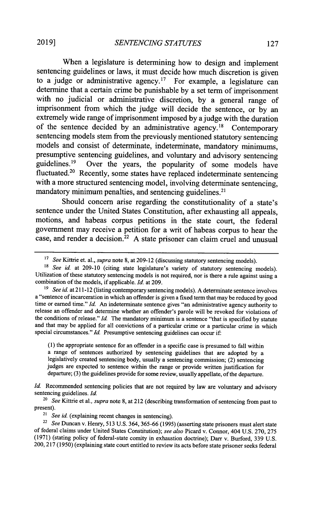When a legislature is determining how to design and implement sentencing guidelines or laws, it must decide how much discretion is given to a judge or administrative agency.<sup>17</sup> For example, a legislature can determine that a certain crime be punishable **by** a set term of imprisonment with no judicial or administrative discretion, **by** a general range of imprisonment from which the judge will decide the sentence, or **by** an extremely wide range of imprisonment imposed **by** a judge with the duration of the sentence decided by an administrative agency.<sup>18</sup> Contemporary sentencing models stem from the previously mentioned statutory sentencing models and consist of determinate, indeterminate, mandatory minimums, presumptive sentencing guidelines, and voluntary and advisory sentencing guidelines.<sup>19</sup> Over the years, the popularity of some models have fluctuated.<sup>20</sup> Recently, some states have replaced indeterminate sentencing with a more structured sentencing model, involving determinate sentencing, mandatory minimum penalties, and sentencing guidelines.<sup>21</sup>

Should concern arise regarding the constitutionality of a state's sentence under the United States Constitution, after exhausting all appeals, motions, and habeas corpus petitions in the state court, the federal government may receive a petition for a writ of habeas corpus to hear the case, and render a decision.<sup>22</sup>**A** state prisoner can claim cruel and unusual

**(1)** the appropriate sentence for an offender in a specific case is presumed to fall within a range of sentences authorized **by** sentencing guidelines that are adopted **by** a legislatively created sentencing body, usually a sentencing commission; (2) sentencing judges are expected to sentence within the range or provide written justification for departure; **(3)** the guidelines provide for some review, usually appellate, of the departure.

*Id.* Recommended sentencing policies that are not required by law are voluntary and advisory sentencing guidelines. *Id.*

*20 See* Kittrie et al., *supra* note **8,** at 212 (describing transformation of sentencing from past to present).

*21 See id.* (explaining recent changes in sentencing).

*22 See* Duncan v. Henry, *513* **U.S.** 364, *365-66* **(1995)** (asserting state prisoners must alert state of federal claims under United States Constitution); *see also* Picard v. Connor, 404 **U.S. 270, 275 (1971)** (stating policy of federal-state comity in exhaustion doctrine); Darr v. Burford, **339 U.S.** 200, **217 (1950)** (explaining state court entitled to review its acts before state prisoner seeks federal

<sup>1</sup>*See* Kittrie et. al., *supra* note **8,** at **209-12** (discussing statutory sentencing models).

<sup>&</sup>lt;sup>18</sup> *See id.* at 209-10 (citing state legislature's variety of statutory sentencing models). Utilization of these statutory sentencing models is not required, nor is there a rule against using a combination of the models, if applicable. *Id.* at **209.**

<sup>&</sup>lt;sup>19</sup> See id. at 211-12 (listing contemporary sentencing models). A determinate sentence involves a "sentence of incarceration in which an offender is given a fixed term that may be reduced **by** good time or earned time." *Id.* An indeterminate sentence gives "an administrative agency authority to release an offender and determine whether an offender's parole will be revoked for violations of the conditions of release." *Id.* The mandatory minimum is a sentence "that is specified **by** statute and that may be applied for all convictions of a particular crime or a particular crime in which special circumstances." *Id.* Presumptive sentencing guidelines can occur if: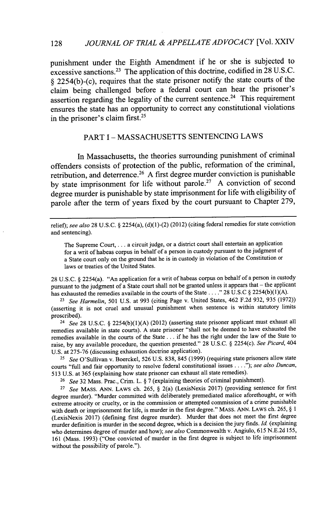punishment under the Eighth Amendment if he or she is subjected to excessive sanctions.<sup>23</sup> The application of this doctrine, codified in 28 U.S.C. **§** 2254(b)-(c), requires that the state prisoner notify the state courts of the claim being challenged before a federal court can hear the prisoner's assertion regarding the legality of the current sentence.<sup>24</sup> This requirement ensures the state has an opportunity to correct any constitutional violations in the prisoner's claim first.<sup>25</sup>

# PART **I - MASSACHUSETTS SENTENCING** LAWS

In Massachusetts, the theories surrounding punishment of criminal offenders consists of protection of the public, reformation of the criminal, retribution, and deterrence. <sup>2</sup>6 **A** first degree murder conviction is punishable **by** state imprisonment for life without parole. <sup>2</sup>7 **A** conviction of second degree murder is punishable **by** state imprisonment for life with eligibility of parole after the term of years fixed **by** the court pursuant to Chapter **279,**

The Supreme Court, **. . .** a circuit judge, or a district court shall entertain an application for a writ of habeas corpus in behalf of a person in custody pursuant to the judgment of a State court only on the ground that he is in custody in violation of the Constitution or laws or treaties of the United States.

**28 U.S.C.** *§* 2254(a). "An application for a writ of habeas corpus on behalf of a person in custody pursuant to the judgment of a State court shall not be granted unless it appears that **-** the applicant has exhausted the remedies available in the courts of the State **. . . ." 28 U.S.C** *§* **2254(b)(1)(A).**

**<sup>23</sup>***See Harmelin,* **501 U.S.** at **993** (citing Page v. United States, 462 **F.2d 932,** *935* **(1972))** (asserting it is not cruel and unusual punishment when sentence is within statutory limits proscribed).

<sup>24</sup>*See* **28 U.S.C.** *§* **2254(b)(1)(A)** (2012) (asserting state prisoner applicant must exhaust all remedies available in state courts). **A** state prisoner "shall not be deemed to have exhausted the remedies available in the courts of the State **...** if he has the right under the law of the State to raise, **by** any available procedure, the question presented." **28 U.S.C.** *§* 2254(c). *See Picard, 404* **U.S.** at **275-76** (discussing exhaustion doctrine application).

**<sup>25</sup>***See* O'Sullivan v. Boerckel, **526 U.S. 838,** 845 **(1999)** (requiring state prisoners allow state courts "full and fair opportunity to resolve federal constitutional issues **. . .** *."); see also Duncan,* **513 U.S.** at *365* (explaining how state prisoner can exhaust all state remedies).

**<sup>26</sup>***See* **32** Mass. Prac., Crim. L. *§* **7** (explaining theories of criminal punishment).

**<sup>27</sup>***See* MASS. **ANN.** LAWS ch. **265,** *§* 2(a) (LexisNexis **2017)** (providing sentence for first degree murder). "Murder committed with deliberately premediated malice aforethought, or with extreme atrocity or cruelty, or in the commission or attempted commission of a crime punishable with death or imprisonment for life, is murder in the first degree." MASS. **ANN. LAWS** ch. **265,** *§* **<sup>I</sup>** (LexisNexis **2017)** (defining first degree murder). Murder that does not meet the first degree murder definition is murder in the second degree, which is a decision the jury finds. *Id* (explaining who determines degree of murder and how); *see also* Commonwealth v. Angiulo, **615 N.E.2d 155, 161** (Mass. **1993)** ("One convicted of murder in the first degree is subject to life imprisonment without the possibility of parole.").

**128**

relief); *see also* **28 U.S.C.** *§* 2254(a), **(d)(l)-(2)** (2012) (citing federal remedies for state conviction and sentencing).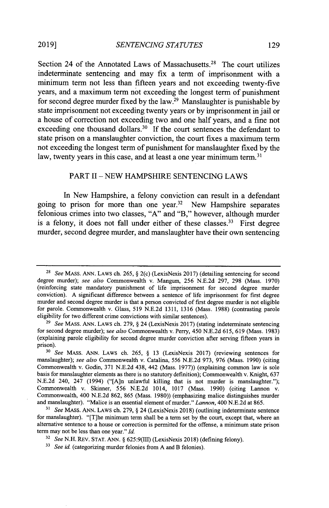Section 24 of the Annotated Laws of Massachusetts.<sup>28</sup> The court utilizes indeterminate sentencing and may fix a term of imprisonment with a minimum term not less than fifteen years and not exceeding twenty-five years, and a maximum term not exceeding the longest term of punishment for second degree murder fixed by the law.<sup>29</sup> Manslaughter is punishable by state imprisonment not exceeding twenty years or **by** imprisonment in jail or a house of correction not exceeding two and one half years, and a fine not exceeding one thousand dollars.<sup>30</sup> If the court sentences the defendant to state prison on a manslaughter conviction, the court fixes a maximum term not exceeding the longest term of punishment for manslaughter fixed **by** the law, twenty years in this case, and at least a one year minimum term.<sup>31</sup>

## PART II **- NEW** HAMPSHIRE **SENTENCING** LAWS

In New Hampshire, a felony conviction can result in a defendant going to prison for more than one year.<sup>32</sup> New Hampshire separates felonious crimes into two classes, **"A"** and "B," however, although murder is a felony, it does not fall under either of these classes.<sup>33</sup> First degree murder, second degree murder, and manslaughter have their own sentencing

**<sup>28</sup>***See* MASS. **ANN.** LAWS ch. **265, §** 2(c) (LexisNexis **2017)** (detailing sentencing for second degree murder); *see also* Commonwealth v. Mangum, **256 N.E.2d 297, 298** (Mass. **1970)** (reinforcing state mandatory punishment of life imprisonment for second degree murder conviction). **A** significant difference between a sentence of life imprisonment for first degree murder and second degree murder is that a person convicted of first degree murder is not eligible for parole. Commonwealth v. Glass, **519 N.E.2d 1311, 1316** (Mass. **1988)** (contrasting parole eligibility for two different crime convictions with similar sentences).

*<sup>29</sup>See* MASS. **ANN. LAWS** ch. **279, §** 24 (LexisNexis **2017)** (stating indeterminate sentencing for second degree murder); *see also* Commonwealth v. Perry, 450 **N.E.2d 615, 619** (Mass. **1983)** (explaining parole eligibility for second degree murder conviction after serving fifteen years in prison).

*<sup>30</sup>See* **MASS. ANN. LAWS** ch. **265, § 13** (LexisNexis **2017)** (reviewing sentences for manslaughter); *see also* Commonwealth v. Catalina, **556 N.E.2d 973, 976** (Mass. **1990)** (citing Commonwealth v. Godin, **371 N.E.2d** 438, 442 (Mass. **1977))** (explaining common law is sole basis for manslaughter elements as there is no statutory definition); Commonwealth v. Knight, **637 N.E.2d** 240, 247 (1994) ("[A]n unlawful killing that is not murder is manslaughter."); Commonwealth v. Skinner, **556 N.E.2d** 1014, **1017** (Mass. **1990)** (citing Lannon v. Commonwealth, 400 **N.E.2d 862, 865** (Mass. **1980))** (emphasizing malice distinguishes murder and manslaughter). "Malice is an essential element of murder." *Lannon,* 400 **N.E.2d** at **865.**

*<sup>31</sup>See* **MASS. ANN. LAWS** ch. **279, §** 24 (LexisNexis **2018)** (outlining indeterminate sentence for manslaughter). "[T]he minimum term shall be a term set **by** the court, except that, where an alternative sentence to a house or correction is permitted for the offense, a minimum state prison term may not be less than one year." *Id.*

*<sup>32</sup>See* **N.H. REV. STAT.** *ANN.* **§** 625:9(III) (LexisNexis **2018)** (defining felony).

*<sup>33</sup>See id.* (categorizing murder felonies from **A** and B felonies).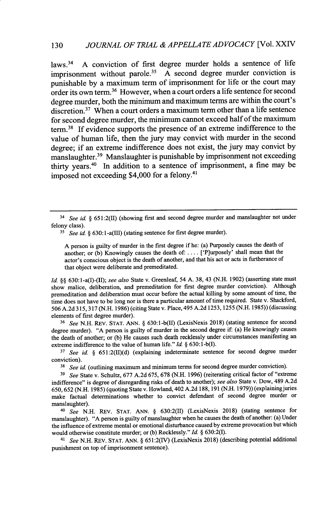laws.<sup>34</sup> A conviction of first degree murder holds a sentence of life imprisonment without parole.<sup>35</sup> A second degree murder conviction is punishable **by** a maximum term of imprisonment for life or the court may order its own term.<sup>36</sup> However, when a court orders a life sentence for second degree murder, both the minimum and maximum terms are within the court's discretion. $37$  When a court orders a maximum term other than a life sentence for second degree murder, the minimum cannot exceed half of the maximum term.<sup>38</sup> If evidence supports the presence of an extreme indifference to the value of human life, then the jury may convict with murder in the second degree; if an extreme indifference does not exist, the jury may convict **by** manslaughter.3 9 Manslaughter is punishable **by** imprisonment not exceeding thirty years.40 In addition to a sentence of imprisonment, a fine may be imposed not exceeding \$4,000 for a felony.<sup>41</sup>

**A** person is guilty of murder in the first degree if he: (a) Purposely causes the death of another; or **(b)** Knowingly causes the death of: **....** ['P]urposely' shall mean that the actor's conscious **object** is the death of another, and that his act or acts in furtherance of that object were deliberate and premeditated.

*Id.* **§§** 630:1-a(I)-(II); *see also* State v. Greenleaf, 54 **A. 38,** 43 **(N.H. 1902)** (asserting state must show malice, deliberation, and premeditation for first degree murder conviction). Although premeditation and deliberation must occur before the actual killing **by** some amount of time, the time does not have to **be** long nor is there a particular amount of time required. State v. Shackford, **506 A.2d 315, 317 (N.H. 1986)** (citing State v. Place, 495 **A.2d 1253, 1255 (N.H. 1985))** (discussing elements of first degree murder).

*<sup>36</sup>See* **N.H.** REV. **STAT. ANN. § 630:1-b(II)** (LexisNexis **2018)** (stating sentence for second degree murder). **"A** person is guilty of murder in the second degree if: (a) He knowingly causes the death of another; or **(b)** He causes such death recklessly under circumstances manifesting an extreme indifference to the value of human life." *Id.* **§ 630: 1-b(l).**

<sup>37</sup> See id. § 651:2(II)(d) (explaining indeterminate sentence for second degree murder conviction).

<sup>38</sup> See id. (outlining maximum and minimum terms for second degree murder conviction).

*<sup>39</sup>See* State v. Schultz, **677 A.2d 675, 678 (N.H. 1996)** (reiterating critical factor of "extreme indifference" is degree of disregarding risks of death to another); *see also* State v. Dow, 489 **A.2d 650,652 (N.H. 1985)** (quoting State v. Howland, 402 **A.2d 188,191 (N.H. 1979))** (explaining juries make factual determinations whether to convict defendant of second degree murder or manslaughter).

*40 See* **N.H.** REV. **STAT. ANN. §** 630:2(II) (LexisNexis **2018)** (stating sentence for manslaughter). **"A** person is guilty of manslaughter when he causes the death of another: (a) Under the influence of extreme mental or emotional disturbance caused **by** extreme provocation but which would otherwise constitute murder; or **(b)** Recklessly." *Id.* **§ 630:2(I).**

*<sup>41</sup>See* **N.H.** REV. **STAT. ANN. § 651:2(IV)** (LexisNexis **2018)** (describing potential additional punishment on top of imprisonment sentence).

*<sup>34</sup> See id. §* **651:2(1)** (showing first and second degree murder and manslaughter not under felony class).

<sup>&</sup>lt;sup>35</sup> *See id.* § 630:1-a(III) (stating sentence for first degree murder).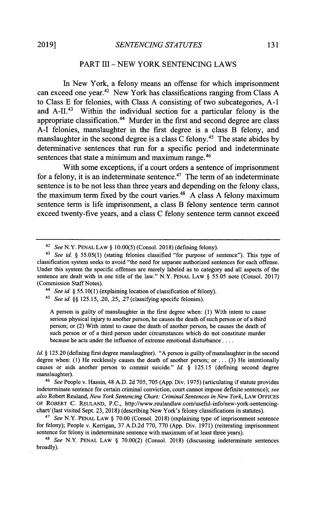# PART III **- NEW** YORK **SENTENCING** LAWS

In New York, a felony means an offense for which imprisonment can exceed one year.<sup>42</sup> New York has classifications ranging from Class A to Class **E** for felonies, with Class **A** consisting of two subcategories, **A-1** and  $A$ -II.<sup>43</sup> Within the individual section for a particular felony is the appropriate classification.<sup>44</sup> Murder in the first and second degree are class **A-I** felonies, manslaughter in the first degree is a class B felony, and manslaughter in the second degree is a class C felony.<sup>45</sup> The state abides by determinative sentences that run for a specific period and indeterminate sentences that state a minimum and maximum range.<sup>46</sup>

With some exceptions, if a court orders a sentence of imprisonment for a felony, it is an indeterminate sentence.<sup>47</sup> The term of an indeterminate sentence is to be not less than three years and depending on the felony class, the maximum term fixed **by** the court varies." **A** class **A** felony maximum sentence term is life imprisonment, a class B felony sentence term cannot exceed twenty-five years, and a class **C** felony sentence term cannot exceed

*4 See id. § 55.10(1)* (explaining location of classification of felony).

*45 See id.* **§§** *125.15,* **.20,** *.25,* **.27** (classifying specific felonies).

**A** person is guilty of manslaughter in the first degree when: **(1)** With intent to cause serious physical injury to another person, he causes the death of such person or of a third person; or (2) With intent to cause the death of another person, he causes the death of such person or of a third person under circumstances which do not constitute murder because he acts under the influence of extreme emotional disturbance **....**

*Id. §* **125.20** (defining first degree manslaughter). **"A** person is guilty of manslaughter in the second degree when: **(1)** He recklessly causes the death of another person; or **... (3)** He intentionally causes or aids another person to commit suicide." *Id. §* **125.15** (defining second degree manslaughter).

*4 See* People v. Hassin, 48 **A.D. 2d 705, 705 (App.** Div. **1975)** (articulating if statute provides indeterminate sentence for certain criminal conviction, court cannot impose definite sentence); *see also* Robert Reuland, *New York Sentencing Chart: Criminal Sentences in New York,* LAW **OFFICES** OF ROBERT **C.** REuLAND, **P.C.,** http://www.reulandlaw.com/useful-info/new-york-sentencingchart/ (last visited Sept. **23, 2018)** (describing New York's felony classifications in statutes).

<sup>47</sup>*See* N.Y. **PENAL** LAW **§ 70.00** (Consol. **2018)** (explaining type of imprisonment sentence for felony); People v. Kerrigan, **37 A.D.2d 770, 770 (App.** Div. **1971)** (reiterating imprisonment sentence for felony is indeterminate sentence with maximum of at least three years).

*48 See* N.Y. **PENAL** LAW **§ 70.00(2)** (Consol. **2018)** (discussing indeterminate sentences broadly).

<sup>42</sup>*See* N.Y. **PENAL** LAW **§ 10.00(5)** (Consol. **2018)** (defining felony).

*<sup>43</sup> See id. § 55.05(1)* (stating felonies classified "for purpose of sentence"). This type of classification system seeks to avoid "the need for separate authorized sentences for each offense. Under this system the specific offenses are merely labeled as to category and all aspects of the sentence are dealt with in one title of the law." N.Y. **PENAL** LAW **§** *55.05* note (Consol. **2017)** (Commission Staff Notes).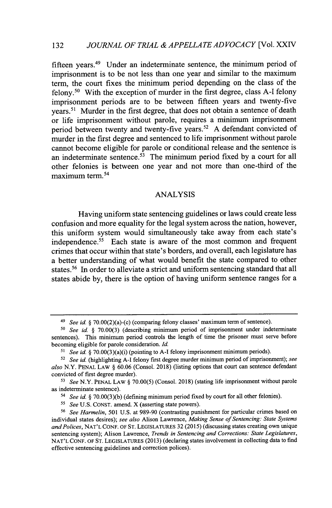fifteen years.<sup>49</sup> Under an indeterminate sentence, the minimum period of imprisonment is to be not less than one year and similar to the maximum term, the court fixes the minimum period depending on the class of the felony.<sup>50</sup> With the exception of murder in the first degree, class A-I felony imprisonment periods are to be between fifteen years and twenty-five years.<sup>51</sup> Murder in the first degree, that does not obtain a sentence of death or life imprisonment without parole, requires a minimum imprisonment period between twenty and twenty-five years.<sup>52</sup> A defendant convicted of murder in the first degree and sentenced to life imprisonment without parole cannot become eligible for parole or conditional release and the sentence is an indeterminate sentence.<sup> $53$ </sup> The minimum period fixed by a court for all other felonies is between one year and not more than one-third of the maximum term.<sup>54</sup>

# **ANALYSIS**

Having uniform state sentencing guidelines or laws could create less confusion and more equality for the legal system across the nation, however, this uniform system would simultaneously take away from each state's independence.<sup>55</sup> Each state is aware of the most common and frequent crimes that occur within that state's borders, and overall, each legislature has a better understanding of what would benefit the state compared to other states.<sup>56</sup> In order to alleviate a strict and uniform sentencing standard that all states abide **by,** there is the option of having uniform sentence ranges for a

*<sup>49</sup> See id. §* 70.00(2)(a)-(c) (comparing felony classes' maximum term of sentence).

**<sup>50</sup>***See id §* **70.00(3)** (describing minimum period of imprisonment under indeterminate sentences). This minimum period controls the length of time the prisoner must serve before becoming eligible for parole consideration. *Id.*

<sup>51</sup>*See id. §* 70.00(3)(a)(i) (pointing to **A-I** felony imprisonment minimum periods).

<sup>52</sup>*See id.* (highlighting **A-I** felony first degree murder minimum period of imprisonment); *see also* N.Y. **PENAL LAW** *§* **60.06** (Consol. **2018)** (listing options that court can sentence defendant convicted of first degree murder).

*S3 See* N.Y. **PENAL LAW** *§* **70.00(5)** (Consol. **2018)** (stating life imprisonment without parole as indeterminate sentence).

<sup>54</sup>*See id. §* **70.00(3)(b)** (defining minimum period fixed **by** court for all other felonies).

ss *See* **U.S. CONST.** amend. X (asserting state powers).

**<sup>56</sup>***See Harmelin, 501* **U.S.** at **989-90** (contrasting punishment for particular crimes based on individual states desires); *see also* Alison Lawrence, *Making Sense of Sentencing: State Systems and Polices,* **NAT'L CONF. OF ST. LEGISLATURES 32 (2015)** (discussing states creating own unique sentencing system); Alison Lawrence, *Trends in Sentencing and Corrections: State Legislatures,* **NAT'L CONF. OF ST. LEGISLATURES (2013)** (declaring states involvement in collecting data to find effective sentencing guidelines and correction polices).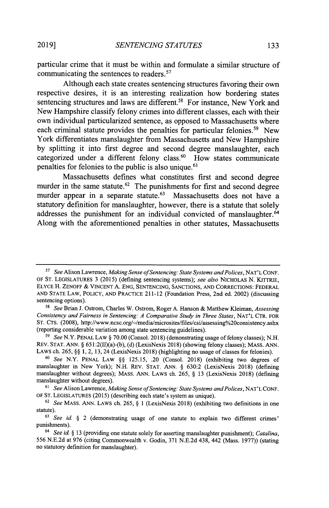particular crime that it must be within and formulate a similar structure of communicating the sentences to readers.<sup>57</sup>

Although each state creates sentencing structures favoring their own respective desires, it is an interesting realization how bordering states sentencing structures and laws are different.<sup>58</sup> For instance, New York and New Hampshire classify felony crimes into different classes, each with their own individual particularized sentence, as opposed to Massachusetts where each criminal statute provides the penalties for particular felonies.<sup>59</sup> New York differentiates manslaughter from Massachusetts and New Hampshire **by** splitting it into first degree and second degree manslaughter, each categorized under a different felony class. $60$  How states communicate penalties for felonies to the public is also unique.<sup>61</sup>

Massachusetts defines what constitutes first and second degree murder in the same statute.<sup> $62$ </sup> The punishments for first and second degree murder appear in a separate statute. $63$  Massachusetts does not have a statutory definition for manslaughter, however, there is a statute that solely addresses the punishment for an individual convicted of manslaughter.<sup>64</sup> Along with the aforementioned penalties in other statutes, Massachusetts

*<sup>5</sup>See* Alison Lawrence, *Making Sense ofSentencing: State Systems and Polices,* **NAT'L CONF.** OF **ST.** LEGISLATURES **3 (2015)** (defining sentencing systems); *see also NICHOLAS* **N. KITTRIE, ELYCE H. ZENOFF** *&* VINCENT **A. ENG, SENTENCING, SANCTIONS, AND CORRECTIONS: FEDERAL AND STATE LAW, POLICY, AND PRACTICE 211-12** (Foundation Press, 2nd ed. 2002) (discussing sentencing options).

ss *See* Brian **J.** Ostrom, Charles W. Ostrom, Roger **A.** Hanson **&** Matthew Kleiman, *Assessing Consistency and Fairness in Sentencing: A Comparative Study in Three States,* **NAT'L** CTR. **FOR ST. CTS. (2008),** *http://www.ncsc.org/~/media/microsites/files/csi/assessing/o20consistency.ashx* (reporting considerable variation among state sentencing guidelines).

*<sup>59</sup>See* N.Y. **PENAL** LAW **§ 70.00** (Consol. **2018)** (demonstrating usage of felony classes); **N.H.** REv. **STAT. ANN. §** 651:2(II)(a)-(b), **(d)** (LexisNexis **2018)** (showing felony classes); MASS. **ANN.** LAWS ch. **265, §§ 1,** 2, **13,** 24 (LexisNexis **2018)** (highlighting no usage of classes for felonies).

*<sup>6</sup>See* N.Y. **PENAL** LAW **§§** *125.15,* .20 (Consol. **2018)** (exhibiting two degrees of manslaughter in New York); **N.H.** REV. **STAT. ANN. § 630:2** (LexisNexis **2018)** (defining manslaughter without degrees); MASS. **ANN.** LAWS ch. **265, § 13** (LexisNexis **2018)** (defining manslaughter without degrees).

*<sup>61</sup>See* Alison Lawrence, *Making Sense ofSentencing: State Systems and Polices,* **NAT'L CONF.** OF **ST. LEGISLATURES (2015)** (describing each state's system as unique).

**<sup>62</sup>***See* MASS. **ANN.** LAWS ch. **265, § 1** (LexisNexis **2018)** (exhibiting two definitions in one statute).

*<sup>63</sup>See id §* 2 (demonstrating usage of one statute to explain two different crimes' punishments).

*<sup>6</sup> See id §* **13** (providing one statute solely for asserting manslaughter punishment); *Catalina,* **556 N.E.2d** at **976** (citing Commonwealth v. Godin, **371 N.E.2d** 438, 442 (Mass. **1977))** (stating no statutory definition for manslaughter).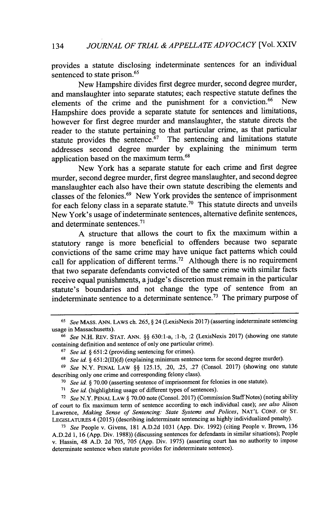provides a statute disclosing indeterminate sentences for an individual sentenced to state prison.<sup>65</sup>

New Hampshire divides first degree murder, second degree murder, and manslaughter into separate statutes; each respective statute defines the elements of the crime and the punishment for a conviction. $66$  New Hampshire does provide a separate statute for sentences and limitations, however for first degree murder and manslaughter, the statute directs the reader to the statute pertaining to that particular crime, as that particular statute provides the sentence.<sup>67</sup> The sentencing and limitations statute addresses second degree murder **by** explaining the minimum term application based on the maximum **term.<sup>6</sup> 1**

New York has a separate statute for each crime and first degree murder, second degree murder, first degree manslaughter, and second degree manslaughter each also have their own statute describing the elements and classes of the felonies.<sup>69</sup> New York provides the sentence of imprisonment for each felony class in a separate statute.<sup>70</sup> This statute directs and unveils New York's usage of indeterminate sentences, alternative defmite sentences, and determinate sentences.<sup>71</sup>

**A** structure that allows the court to fix the maximum within a statutory range is more beneficial to offenders because two separate convictions of the same crime may have unique fact patterns which could call for application of different terms.<sup>72</sup> Although there is no requirement that two separate defendants convicted of the same crime with similar facts receive equal punishments, ajudge's discretion must remain in the particular statute's boundaries and not change the type of sentence from an indeterminate sentence to a determinate sentence.<sup>73</sup> The primary purpose of

*n1 See id.* (highlighting usage of different types of sentences).

**<sup>72</sup>***See* N.Y. **PENAL** LAW *§* **70.00** note (Consol. **2017)** (Commission Staff Notes) (noting ability of court to fix maximum term of sentence according to each individual case); *see also* Alison Lawrence, *Making Sense of Sentencing: State Systems and Polices,* **NAT'L CONF.** OF **ST. LEGISLATURES** 4 **(2015)** (describing indeterminate sentencing as **highly** individualized penalty).

*<sup>73</sup>See* People v. Givens, **181 A.D.2d 1031 (App.** Div. **1992)** (citing People v. Brown, **136 A.D.2d 1, 16 (App.** Div. **1988))** (discussing sentences for defendants in similar situations); People v. Hassin, 48 **A.D. 2d 705, 705 (App.** Div. **1975)** (asserting court has no authority to impose determinate sentence when statute provides for indeterminate sentence).

*<sup>65</sup>See* MASS. **ANN. LAWS** ch. **265,** *§* 24 (LexisNexis **2017)** (asserting indeterminate sentencing usage **in** Massachusetts).

*<sup>66</sup>See* **N.H.** REv. **STAT. ANN.** *§§* 630:1-a, **:1-b,** :2 (LexisNexis **2017)** (showing one statute containing definition and sentence of only one particular crime).

**<sup>67</sup>***See id. §* **651:2** (providing sentencing for crimes).

*<sup>61</sup>See id. §* **651:2(II)(d)** (explaining minimum sentence term for second degree murder).

**<sup>69</sup>***See* N.Y. **PENAL** LAW *§§* **125.15,** .20, *.25,* **.27** (Consol. **2017)** (showing one statute describing only one crime and corresponding felony class).

*<sup>70</sup>See id. §* **70.00** (asserting sentence of imprisonment for felonies in one statute).